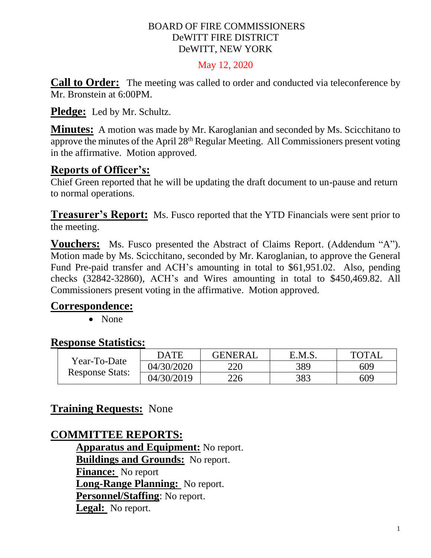#### BOARD OF FIRE COMMISSIONERS DeWITT FIRE DISTRICT DeWITT, NEW YORK

#### May 12, 2020

**Call to Order:** The meeting was called to order and conducted via teleconference by Mr. Bronstein at 6:00PM.

**Pledge:** Led by Mr. Schultz.

**Minutes:** A motion was made by Mr. Karoglanian and seconded by Ms. Scicchitano to approve the minutes of the April 28<sup>th</sup> Regular Meeting. All Commissioners present voting in the affirmative. Motion approved.

# **Reports of Officer's:**

Chief Green reported that he will be updating the draft document to un-pause and return to normal operations.

**Treasurer's Report:** Ms. Fusco reported that the YTD Financials were sent prior to the meeting.

**Vouchers:** Ms. Fusco presented the Abstract of Claims Report. (Addendum "A"). Motion made by Ms. Scicchitano, seconded by Mr. Karoglanian, to approve the General Fund Pre-paid transfer and ACH's amounting in total to \$61,951.02. Also, pending checks (32842-32860), ACH's and Wires amounting in total to \$450,469.82. All Commissioners present voting in the affirmative. Motion approved.

### **Correspondence:**

• None

# **Response Statistics:**

| Year-To-Date<br><b>Response Stats:</b> | DATE       | <b>GENERAL</b> | E.M.S. | <b>TOTAL</b> |
|----------------------------------------|------------|----------------|--------|--------------|
|                                        | 04/30/2020 | 220            | 389    | 609          |
|                                        | 04/30/2019 | 226            | 383    | 609          |

# **Training Requests:** None

# **COMMITTEE REPORTS:**

**Apparatus and Equipment:** No report. **Buildings and Grounds:** No report. **Finance:** No report **Long-Range Planning:** No report. **Personnel/Staffing**: No report. **Legal:** No report.